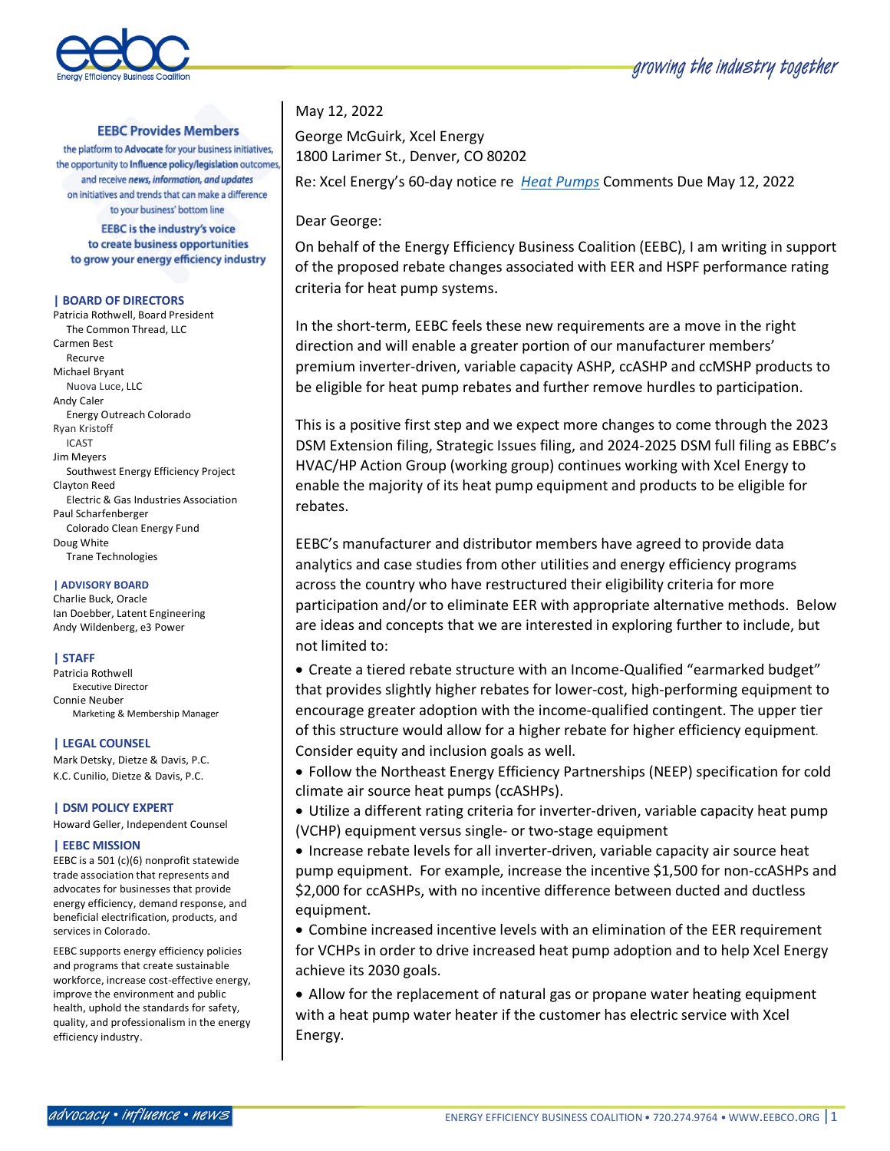

## **EEBC Provides Members**

the platform to Advocate for your business initiatives, the opportunity to Influence policy/legislation outcomes, and receive news, information, and updates on initiatives and trends that can make a difference to your business' bottom line

**EEBC** is the industry's voice to create business opportunities to grow your energy efficiency industry

#### **| BOARD OF DIRECTORS**

Patricia Rothwell, Board President The Common Thread, LLC Carmen Best Recurve Michael Bryant Nuova Luce, LLC Andy Caler Energy Outreach Colorado Ryan Kristoff ICAST Jim Meyers Southwest Energy Efficiency Project Clayton Reed Electric & Gas Industries Association Paul Scharfenberger Colorado Clean Energy Fund Doug White Trane Technologies

#### **| ADVISORY BOARD**

Charlie Buck, Oracle Ian Doebber, Latent Engineering Andy Wildenberg, e3 Power

### **| STAFF**

Patricia Rothwell Executive Director Connie Neuber Marketing & Membership Manager

#### **| LEGAL COUNSEL**

Mark Detsky, Dietze & Davis, P.C. K.C. Cunilio, Dietze & Davis, P.C.

#### **| DSM POLICY EXPERT**

Howard Geller, Independent Counsel

#### **| EEBC MISSION**

EEBC is a 501 (c)(6) nonprofit statewide trade association that represents and advocates for businesses that provide energy efficiency, demand response, and beneficial electrification, products, and services in Colorado.

EEBC supports energy efficiency policies and programs that create sustainable workforce, increase cost-effective energy, improve the environment and public health, uphold the standards for safety, quality, and professionalism in the energy efficiency industry.

# May 12, 2022

George McGuirk, Xcel Energy 1800 Larimer St., Denver, CO 80202

Re: Xcel Energy's 60-day notice re *Heat Pumps* Comments Due May 12, 2022

Dear George:

On behalf of the Energy Efficiency Business Coalition (EEBC), I am writing in support of the proposed rebate changes associated with EER and HSPF performance rating criteria for heat pump systems.

In the short-term, EEBC feels these new requirements are a move in the right direction and will enable a greater portion of our manufacturer members' premium inverter-driven, variable capacity ASHP, ccASHP and ccMSHP products to be eligible for heat pump rebates and further remove hurdles to participation.

This is a positive first step and we expect more changes to come through the 2023 DSM Extension filing, Strategic Issues filing, and 2024-2025 DSM full filing as EBBC's HVAC/HP Action Group (working group) continues working with Xcel Energy to enable the majority of its heat pump equipment and products to be eligible for rebates.

EEBC's manufacturer and distributor members have agreed to provide data analytics and case studies from other utilities and energy efficiency programs across the country who have restructured their eligibility criteria for more participation and/or to eliminate EER with appropriate alternative methods. Below are ideas and concepts that we are interested in exploring further to include, but not limited to:

• Create a tiered rebate structure with an Income-Qualified "earmarked budget" that provides slightly higher rebates for lower-cost, high-performing equipment to encourage greater adoption with the income-qualified contingent. The upper tier of this structure would allow for a higher rebate for higher efficiency equipment. Consider equity and inclusion goals as well.

• Follow the Northeast Energy Efficiency Partnerships (NEEP) specification for cold climate air source heat pumps (ccASHPs).

• Utilize a different rating criteria for inverter-driven, variable capacity heat pump (VCHP) equipment versus single- or two-stage equipment

• Increase rebate levels for all inverter-driven, variable capacity air source heat pump equipment. For example, increase the incentive \$1,500 for non-ccASHPs and \$2,000 for ccASHPs, with no incentive difference between ducted and ductless equipment.

• Combine increased incentive levels with an elimination of the EER requirement for VCHPs in order to drive increased heat pump adoption and to help Xcel Energy achieve its 2030 goals.

• Allow for the replacement of natural gas or propane water heating equipment with a heat pump water heater if the customer has electric service with Xcel Energy.